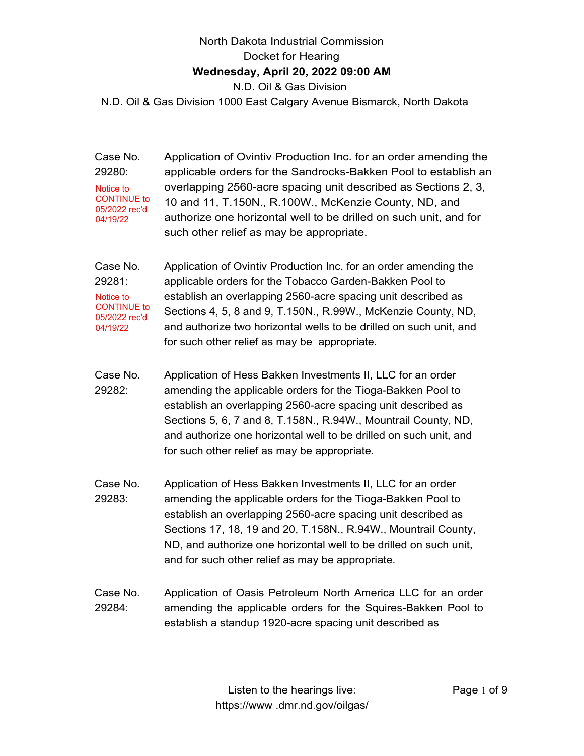# North Dakota Industrial Commission Docket for Hearing **Wednesday, April 20, 2022 09:00 AM** N.D. Oil & Gas Division

N.D. Oil & Gas Division 1000 East Calgary Avenue Bismarck, North Dakota

| Case No.<br>29280:<br>Notice to<br><b>CONTINUE to</b><br>05/2022 rec'd<br>04/19/22 | Application of Ovintiv Production Inc. for an order amending the<br>applicable orders for the Sandrocks-Bakken Pool to establish an<br>overlapping 2560-acre spacing unit described as Sections 2, 3,<br>10 and 11, T.150N., R.100W., McKenzie County, ND, and<br>authorize one horizontal well to be drilled on such unit, and for<br>such other relief as may be appropriate.       |
|------------------------------------------------------------------------------------|---------------------------------------------------------------------------------------------------------------------------------------------------------------------------------------------------------------------------------------------------------------------------------------------------------------------------------------------------------------------------------------|
| Case No.<br>29281:<br>Notice to<br><b>CONTINUE to</b><br>05/2022 rec'd<br>04/19/22 | Application of Ovintiv Production Inc. for an order amending the<br>applicable orders for the Tobacco Garden-Bakken Pool to<br>establish an overlapping 2560-acre spacing unit described as<br>Sections 4, 5, 8 and 9, T.150N., R.99W., McKenzie County, ND,<br>and authorize two horizontal wells to be drilled on such unit, and<br>for such other relief as may be appropriate.    |
| Case No.<br>29282:                                                                 | Application of Hess Bakken Investments II, LLC for an order<br>amending the applicable orders for the Tioga-Bakken Pool to<br>establish an overlapping 2560-acre spacing unit described as<br>Sections 5, 6, 7 and 8, T.158N., R.94W., Mountrail County, ND,<br>and authorize one horizontal well to be drilled on such unit, and<br>for such other relief as may be appropriate.     |
| Case No.<br>29283:                                                                 | Application of Hess Bakken Investments II, LLC for an order<br>amending the applicable orders for the Tioga-Bakken Pool to<br>establish an overlapping 2560-acre spacing unit described as<br>Sections 17, 18, 19 and 20, T.158N., R.94W., Mountrail County,<br>ND, and authorize one horizontal well to be drilled on such unit,<br>and for such other relief as may be appropriate. |
| Case No.<br>29284:                                                                 | Application of Oasis Petroleum North America LLC for an order<br>amending the applicable orders for the Squires-Bakken Pool to<br>establish a standup 1920-acre spacing unit described as                                                                                                                                                                                             |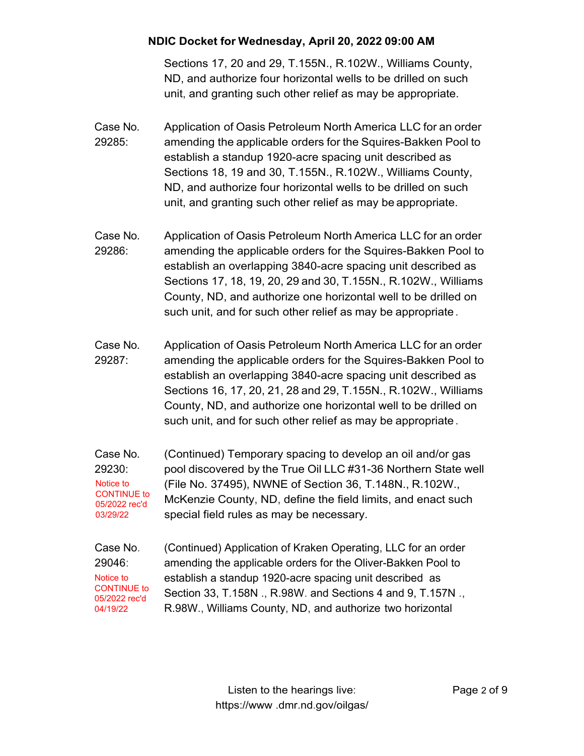Sections 17, 20 and 29, T.155N., R.102W., Williams County, ND, and authorize four horizontal wells to be drilled on such unit, and granting such other relief as may be appropriate.

- Case No. 29285: Application of Oasis Petroleum North America LLC for an order amending the applicable orders for the Squires-Bakken Pool to establish a standup 1920-acre spacing unit described as Sections 18, 19 and 30, T.155N., R.102W., Williams County, ND, and authorize four horizontal wells to be drilled on such unit, and granting such other relief as may be appropriate.
- Case No. 29286: Application of Oasis Petroleum North America LLC for an order amending the applicable orders for the Squires-Bakken Pool to establish an overlapping 3840-acre spacing unit described as Sections 17, 18, 19, 20, 29 and 30, T.155N., R.102W., Williams County, ND, and authorize one horizontal well to be drilled on such unit, and for such other relief as may be appropriate .
- Case No. 29287: Application of Oasis Petroleum North America LLC for an order amending the applicable orders for the Squires-Bakken Pool to establish an overlapping 3840-acre spacing unit described as Sections 16, 17, 20, 21, 28 and 29, T.155N., R.102W., Williams County, ND, and authorize one horizontal well to be drilled on such unit, and for such other relief as may be appropriate .
- Case No. 29230: (Continued) Temporary spacing to develop an oil and/or gas pool discovered by the True Oil LLC #31-36 Northern State well (File No. 37495), NWNE of Section 36, T.148N., R.102W., McKenzie County, ND, define the field limits, and enact such special field rules as may be necessary. Notice to CONTINUE to 05/2022 rec'd 03/29/22
- Case No. 29046: (Continued) Application of Kraken Operating, LLC for an order amending the applicable orders for the Oliver-Bakken Pool to establish a standup 1920-acre spacing unit described as Section 33, T.158N ., R.98W. and Sections 4 and 9, T.157N ., R.98W., Williams County, ND, and authorize two horizontal Notice to CONTINUE to 05/2022 rec'd 04/19/22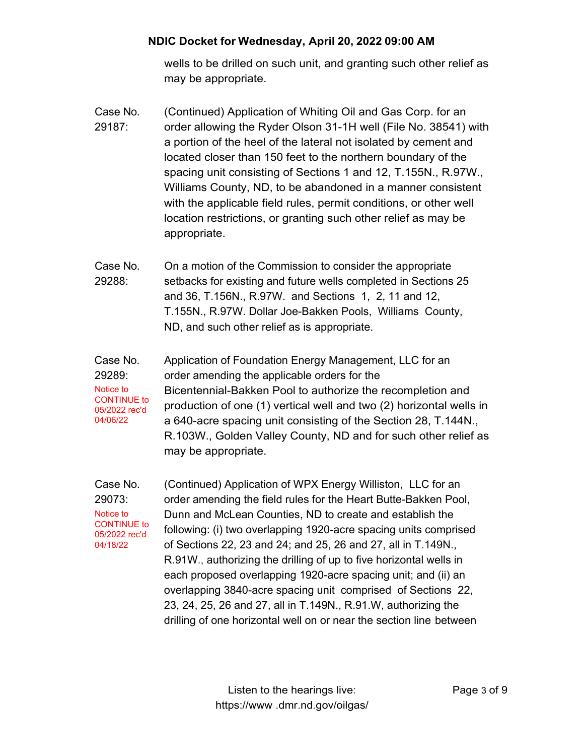wells to be drilled on such unit, and granting such other relief as may be appropriate.

- Case No. 29187: (Continued) Application of Whiting Oil and Gas Corp. for an order allowing the Ryder Olson 31-1H well (File No. 38541) with a portion of the heel of the lateral not isolated by cement and located closer than 150 feet to the northern boundary of the spacing unit consisting of Sections 1 and 12, T.155N., R.97W., Williams County, ND, to be abandoned in a manner consistent with the applicable field rules, permit conditions, or other well location restrictions, or granting such other relief as may be appropriate.
- Case No. 29288: On a motion of the Commission to consider the appropriate setbacks for existing and future wells completed in Sections 25 and 36, T.156N., R.97W. and Sections 1, 2, 11 and 12, T.155N., R.97W. Dollar Joe-Bakken Pools, Williams County, ND, and such other relief as is appropriate.
- Case No. 29289: Notice to CONTINUE to 05/2022 rec'd 04/06/22 Application of Foundation Energy Management, LLC for an order amending the applicable orders for the Bicentennial-Bakken Pool to authorize the recompletion and production of one (1) vertical well and two (2) horizontal wells in a 640-acre spacing unit consisting of the Section 28, T.144N., R.103W., Golden Valley County, ND and for such other relief as may be appropriate.

Case No. 29073: Notice to CONTINUE to 05/2022 rec'd 04/18/22 (Continued) Application of WPX Energy Williston, LLC for an order amending the field rules for the Heart Butte-Bakken Pool, Dunn and McLean Counties, ND to create and establish the following: (i) two overlapping 1920-acre spacing units comprised of Sections 22, 23 and 24; and 25, 26 and 27, all in T.149N., R.91W., authorizing the drilling of up to five horizontal wells in each proposed overlapping 1920-acre spacing unit; and (ii) an overlapping 3840-acre spacing unit comprised of Sections 22, 23, 24, 25, 26 and 27, all in T.149N., R.91.W, authorizing the drilling of one horizontal well on or near the section line between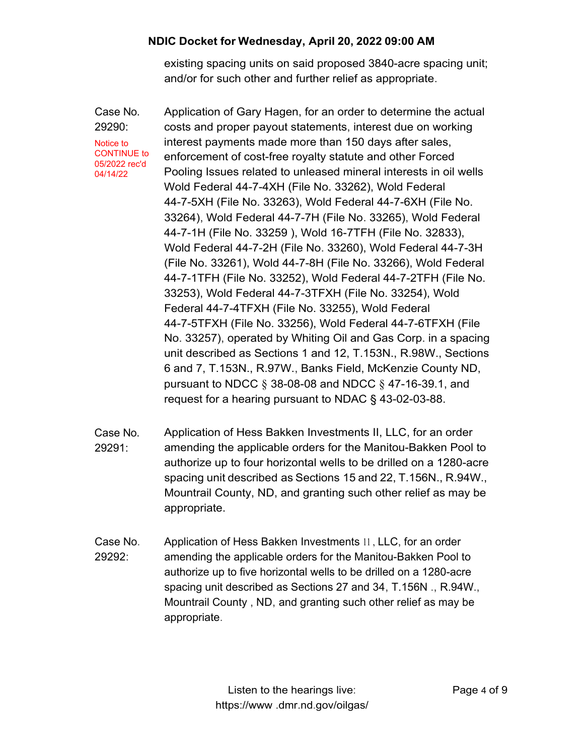existing spacing units on said proposed 3840-acre spacing unit; and/or for such other and further relief as appropriate.

Case No. 29290: Application of Gary Hagen, for an order to determine the actual costs and proper payout statements, interest due on working interest payments made more than 150 days after sales, enforcement of cost-free royalty statute and other Forced Pooling Issues related to unleased mineral interests in oil wells Wold Federal 44-7-4XH (File No. 33262), Wold Federal 44-7-5XH (File No. 33263), Wold Federal 44-7-6XH (File No. 33264), Wold Federal 44-7-7H (File No. 33265), Wold Federal 44-7-1H (File No. 33259 ), Wold 16-7TFH (File No. 32833), Wold Federal 44-7-2H (File No. 33260), Wold Federal 44-7-3H (File No. 33261), Wold 44-7-8H (File No. 33266), Wold Federal 44-7-1TFH (File No. 33252), Wold Federal 44-7-2TFH (File No. 33253), Wold Federal 44-7-3TFXH (File No. 33254), Wold Federal 44-7-4TFXH (File No. 33255), Wold Federal 44-7-5TFXH (File No. 33256), Wold Federal 44-7-6TFXH (File No. 33257), operated by Whiting Oil and Gas Corp. in a spacing unit described as Sections 1 and 12, T.153N., R.98W., Sections 6 and 7, T.153N., R.97W., Banks Field, McKenzie County ND, pursuant to NDCC § 38-08-08 and NDCC § 47-16-39.1, and request for a hearing pursuant to NDAC § 43-02-03-88. Notice to CONTINUE to 05/2022 rec'd 04/14/22

- Case No. 29291: Application of Hess Bakken Investments II, LLC, for an order amending the applicable orders for the Manitou-Bakken Pool to authorize up to four horizontal wells to be drilled on a 1280-acre spacing unit described as Sections 15 and 22, T.156N., R.94W., Mountrail County, ND, and granting such other relief as may be appropriate.
- Case No. 29292: Application of Hess Bakken Investments 11 , LLC, for an order amending the applicable orders for the Manitou-Bakken Pool to authorize up to five horizontal wells to be drilled on a 1280-acre spacing unit described as Sections 27 and 34, T.156N ., R.94W., Mountrail County , ND, and granting such other relief as may be appropriate.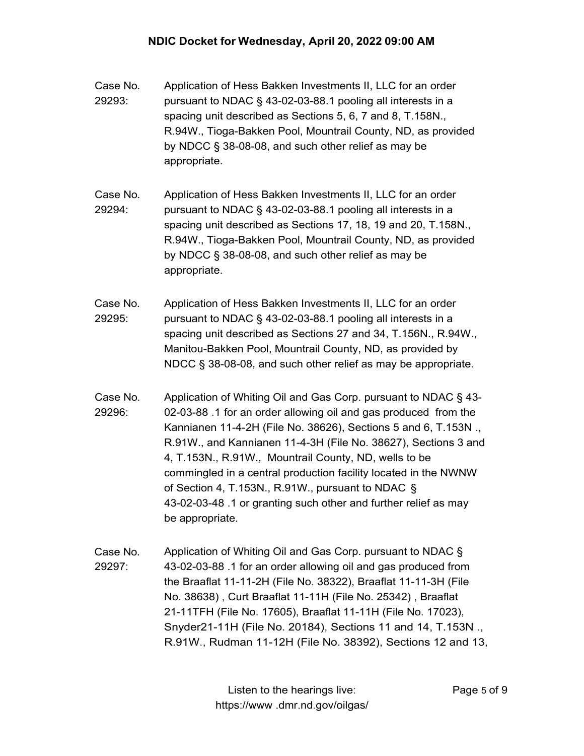- Case No. 29293: Application of Hess Bakken Investments II, LLC for an order pursuant to NDAC § 43-02-03-88.1 pooling all interests in a spacing unit described as Sections 5, 6, 7 and 8, T.158N., R.94W., Tioga-Bakken Pool, Mountrail County, ND, as provided by NDCC § 38-08-08, and such other relief as may be appropriate.
- Case No. 29294: Application of Hess Bakken Investments II, LLC for an order pursuant to NDAC § 43-02-03-88.1 pooling all interests in a spacing unit described as Sections 17, 18, 19 and 20, T.158N., R.94W., Tioga-Bakken Pool, Mountrail County, ND, as provided by NDCC § 38-08-08, and such other relief as may be appropriate.
- Case No. 29295: Application of Hess Bakken Investments II, LLC for an order pursuant to NDAC § 43-02-03-88.1 pooling all interests in a spacing unit described as Sections 27 and 34, T.156N., R.94W., Manitou-Bakken Pool, Mountrail County, ND, as provided by NDCC § 38-08-08, and such other relief as may be appropriate.
- Case No. 29296: Application of Whiting Oil and Gas Corp. pursuant to NDAC § 43- 02-03-88 .1 for an order allowing oil and gas produced from the Kannianen 11-4-2H (File No. 38626), Sections 5 and 6, T.153N ., R.91W., and Kannianen 11-4-3H (File No. 38627), Sections 3 and 4, T.153N., R.91W., Mountrail County, ND, wells to be commingled in a central production facility located in the NWNW of Section 4, T.153N., R.91W., pursuant to NDAC § 43-02-03-48 .1 or granting such other and further relief as may be appropriate.
- Case No. 29297: Application of Whiting Oil and Gas Corp. pursuant to NDAC § 43-02-03-88 .1 for an order allowing oil and gas produced from the Braaflat 11-11-2H (File No. 38322), Braaflat 11-11-3H (File No. 38638) , Curt Braaflat 11-11H (File No. 25342) , Braaflat 21-11TFH (File No. 17605), Braaflat 11-11H (File No. 17023), Snyder21-11H (File No. 20184), Sections 11 and 14, T.153N ., R.91W., Rudman 11-12H (File No. 38392), Sections 12 and 13,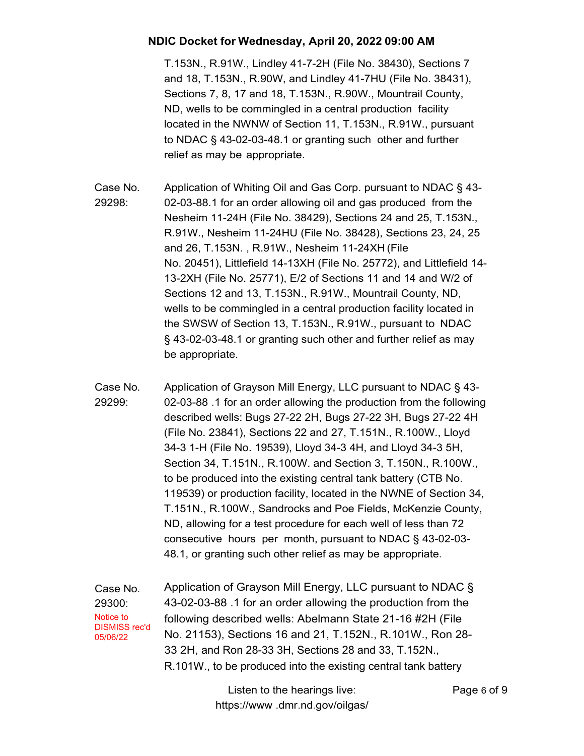T.153N., R.91W., Lindley 41-7-2H (File No. 38430), Sections 7 and 18, T.153N., R.90W, and Lindley 41-7HU (File No. 38431), Sections 7, 8, 17 and 18, T.153N., R.90W., Mountrail County, ND, wells to be commingled in a central production facility located in the NWNW of Section 11, T.153N., R.91W., pursuant to NDAC § 43-02-03-48.1 or granting such other and further relief as may be appropriate.

- Case No. 29298: Application of Whiting Oil and Gas Corp. pursuant to NDAC § 43- 02-03-88.1 for an order allowing oil and gas produced from the Nesheim 11-24H (File No. 38429), Sections 24 and 25, T.153N., R.91W., Nesheim 11-24HU (File No. 38428), Sections 23, 24, 25 and 26, T.153N. , R.91W., Nesheim 11-24XH (File No. 20451), Littlefield 14-13XH (File No. 25772), and Littlefield 14- 13-2XH (File No. 25771), E/2 of Sections 11 and 14 and W/2 of Sections 12 and 13, T.153N., R.91W., Mountrail County, ND, wells to be commingled in a central production facility located in the SWSW of Section 13, T.153N., R.91W., pursuant to NDAC § 43-02-03-48.1 or granting such other and further relief as may be appropriate.
- Case No. 29299: Application of Grayson Mill Energy, LLC pursuant to NDAC § 43- 02-03-88 .1 for an order allowing the production from the following described wells: Bugs 27-22 2H, Bugs 27-22 3H, Bugs 27-22 4H (File No. 23841), Sections 22 and 27, T.151N., R.100W., Lloyd 34-3 1-H (File No. 19539), Lloyd 34-3 4H, and Lloyd 34-3 5H, Section 34, T.151N., R.100W. and Section 3, T.150N., R.100W., to be produced into the existing central tank battery (CTB No. 119539) or production facility, located in the NWNE of Section 34, T.151N., R.100W., Sandrocks and Poe Fields, McKenzie County, ND, allowing for a test procedure for each well of less than 72 consecutive hours per month, pursuant to NDAC § 43-02-03- 48.1, or granting such other relief as may be appropriate.

Case No. 29300: Application of Grayson Mill Energy, LLC pursuant to NDAC § 43-02-03-88 .1 for an order allowing the production from the following described wells: Abelmann State 21-16 #2H (File No. 21153), Sections 16 and 21, T.152N., R.101W., Ron 28- 33 2H, and Ron 28-33 3H, Sections 28 and 33, T.152N., R.101W., to be produced into the existing central tank battery Notice to DISMISS rec'd 05/06/22

> Listen to the hearings live: https://www .dmr.nd.gov/oilgas/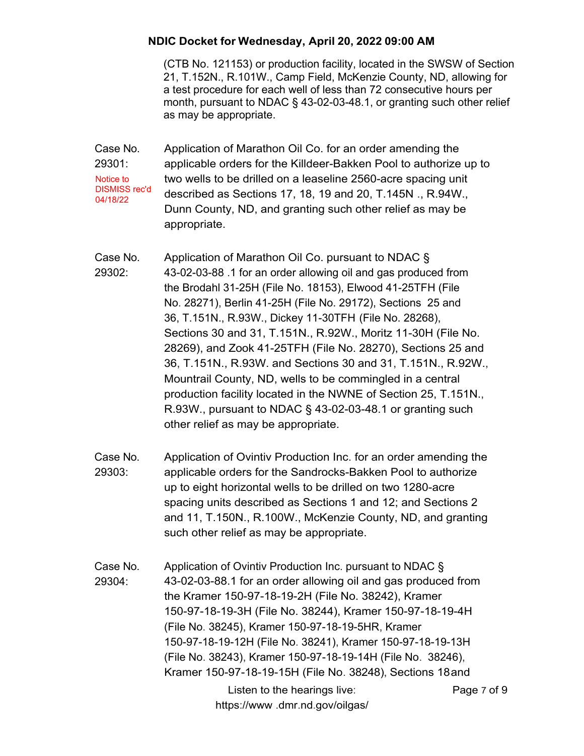(CTB No. 121153) or production facility, located in the SWSW of Section 21, T.152N., R.101W., Camp Field, McKenzie County, ND, allowing for a test procedure for each well of less than 72 consecutive hours per month, pursuant to NDAC § 43-02-03-48.1, or granting such other relief as may be appropriate.

- Case No. 29301: Application of Marathon Oil Co. for an order amending the applicable orders for the Killdeer-Bakken Pool to authorize up to two wells to be drilled on a leaseline 2560-acre spacing unit described as Sections 17, 18, 19 and 20, T.145N ., R.94W., Dunn County, ND, and granting such other relief as may be appropriate. Notice to DISMISS rec'd 04/18/22
- Case No. 29302: Application of Marathon Oil Co. pursuant to NDAC § 43-02-03-88 .1 for an order allowing oil and gas produced from the Brodahl 31-25H (File No. 18153), Elwood 41-25TFH (File No. 28271), Berlin 41-25H (File No. 29172), Sections 25 and 36, T.151N., R.93W., Dickey 11-30TFH (File No. 28268), Sections 30 and 31, T.151N., R.92W., Moritz 11-30H (File No. 28269), and Zook 41-25TFH (File No. 28270), Sections 25 and 36, T.151N., R.93W. and Sections 30 and 31, T.151N., R.92W., Mountrail County, ND, wells to be commingled in a central production facility located in the NWNE of Section 25, T.151N., R.93W., pursuant to NDAC § 43-02-03-48.1 or granting such other relief as may be appropriate.
- Case No. 29303: Application of Ovintiv Production Inc. for an order amending the applicable orders for the Sandrocks-Bakken Pool to authorize up to eight horizontal wells to be drilled on two 1280-acre spacing units described as Sections 1 and 12; and Sections 2 and 11, T.150N., R.100W., McKenzie County, ND, and granting such other relief as may be appropriate.

Case No. 29304: Application of Ovintiv Production Inc. pursuant to NDAC § 43-02-03-88.1 for an order allowing oil and gas produced from the Kramer 150-97-18-19-2H (File No. 38242), Kramer 150-97-18-19-3H (File No. 38244), Kramer 150-97-18-19-4H (File No. 38245), Kramer 150-97-18-19-5HR, Kramer 150-97-18-19-12H (File No. 38241), Kramer 150-97-18-19-13H (File No. 38243), Kramer 150-97-18-19-14H (File No. 38246), Kramer 150-97-18-19-15H (File No. 38248), Sections 18 and

Listen to the hearings live: https://www .dmr.nd.gov/oilgas/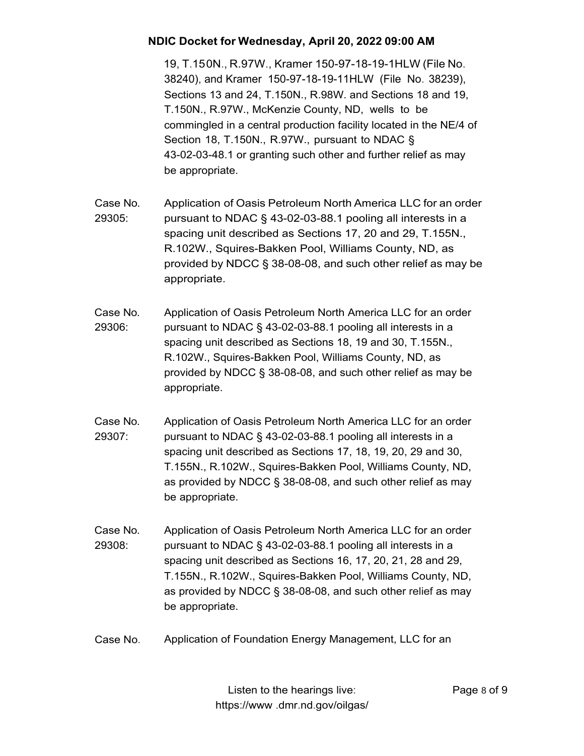19, T.15 0N., R.97W., Kramer 150-97-18-19-1HLW (File No. 38240), and Kramer 150-97-18-19-11HLW (File No. 38239), Sections 13 and 24, T.150N., R.98W. and Sections 18 and 19, T.150N., R.97W., McKenzie County, ND, wells to be commingled in a central production facility located in the NE/4 of Section 18, T.150N., R.97W., pursuant to NDAC § 43-02-03-48.1 or granting such other and further relief as may be appropriate.

- Case No. 29305: Application of Oasis Petroleum North America LLC for an order pursuant to NDAC § 43-02-03-88.1 pooling all interests in a spacing unit described as Sections 17, 20 and 29, T.155N., R.102W., Squires-Bakken Pool, Williams County, ND, as provided by NDCC § 38-08-08, and such other relief as may be appropriate.
- Case No. 29306: Application of Oasis Petroleum North America LLC for an order pursuant to NDAC § 43-02-03-88.1 pooling all interests in a spacing unit described as Sections 18, 19 and 30, T.155N., R.102W., Squires-Bakken Pool, Williams County, ND, as provided by NDCC § 38-08-08, and such other relief as may be appropriate.
- Case No. 29307: Application of Oasis Petroleum North America LLC for an order pursuant to NDAC § 43-02-03-88.1 pooling all interests in a spacing unit described as Sections 17, 18, 19, 20, 29 and 30, T.155N., R.102W., Squires-Bakken Pool, Williams County, ND, as provided by NDCC § 38-08-08, and such other relief as may be appropriate.
- Case No. 29308: Application of Oasis Petroleum North America LLC for an order pursuant to NDAC § 43-02-03-88.1 pooling all interests in a spacing unit described as Sections 16, 17, 20, 21, 28 and 29, T.155N., R.102W., Squires-Bakken Pool, Williams County, ND, as provided by NDCC § 38-08-08, and such other relief as may be appropriate.
- Case No. Application of Foundation Energy Management, LLC for an